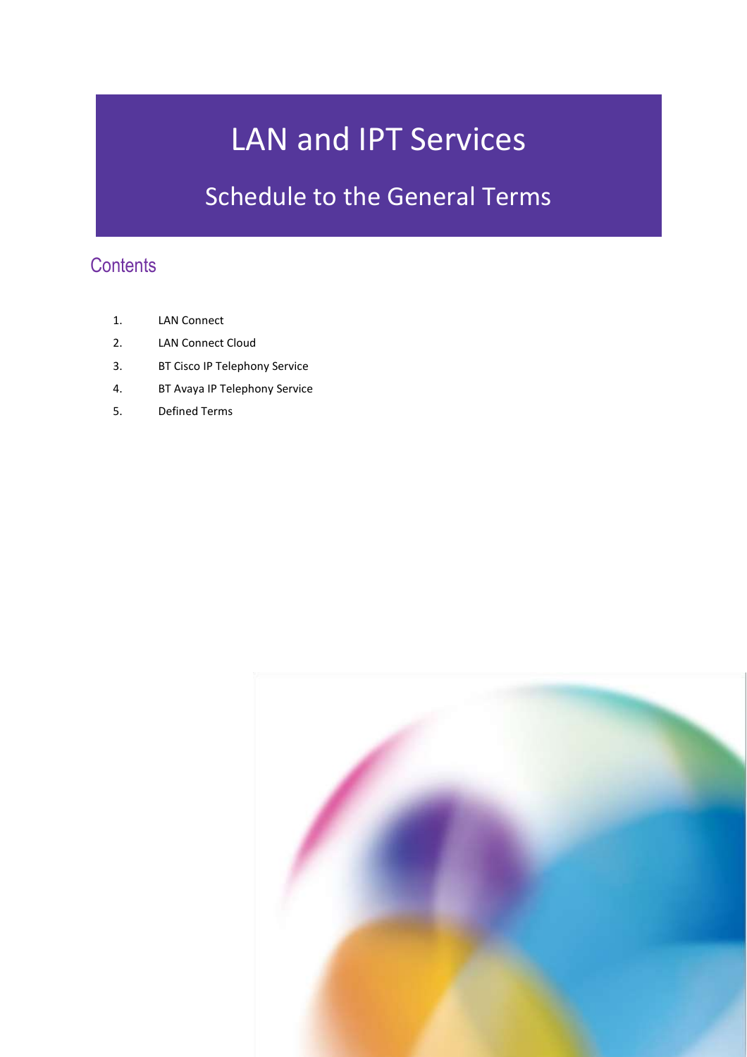# LAN and IPT Services

## Schedule to the General Terms

### **Contents**

- 1. LAN Connect
- 2. LAN Connect Cloud
- 3. BT Cisco IP Telephony Service
- 4. BT Avaya IP Telephony Service
- 5. Defined Terms

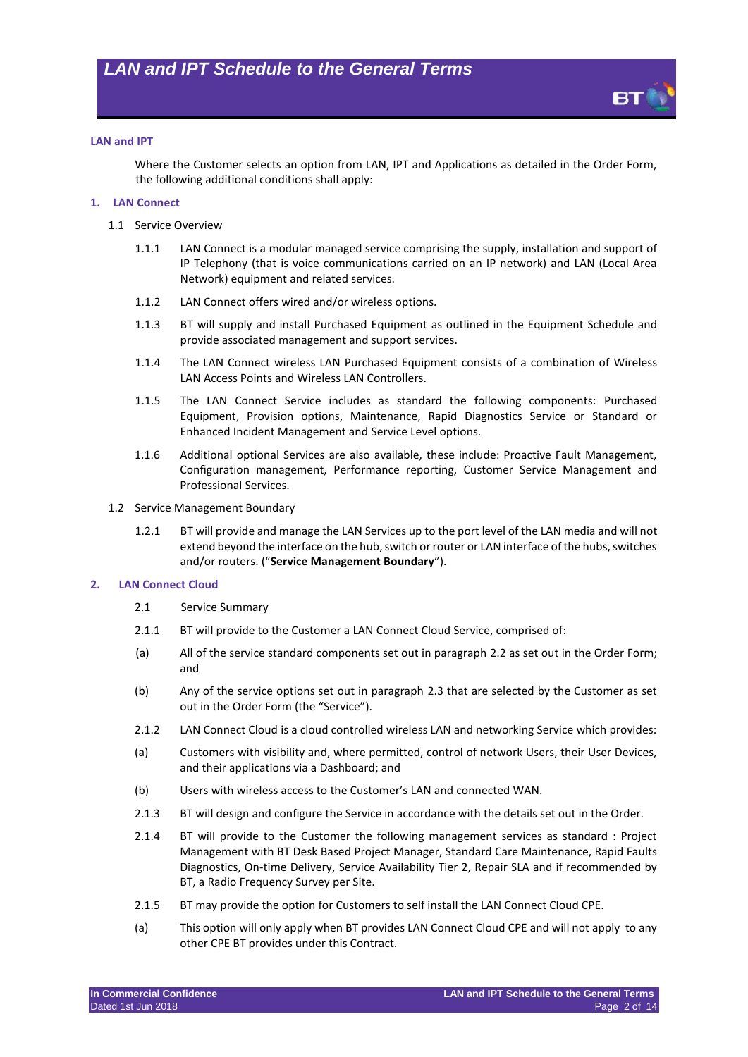

#### **LAN and IPT**

Where the Customer selects an option from LAN, IPT and Applications as detailed in the Order Form, the following additional conditions shall apply:

#### **1. LAN Connect**

- 1.1 Service Overview
	- 1.1.1 LAN Connect is a modular managed service comprising the supply, installation and support of IP Telephony (that is voice communications carried on an IP network) and LAN (Local Area Network) equipment and related services.
	- 1.1.2 LAN Connect offers wired and/or wireless options.
	- 1.1.3 BT will supply and install Purchased Equipment as outlined in the Equipment Schedule and provide associated management and support services.
	- 1.1.4 The LAN Connect wireless LAN Purchased Equipment consists of a combination of Wireless LAN Access Points and Wireless LAN Controllers.
	- 1.1.5 The LAN Connect Service includes as standard the following components: Purchased Equipment, Provision options, Maintenance, Rapid Diagnostics Service or Standard or Enhanced Incident Management and Service Level options.
	- 1.1.6 Additional optional Services are also available, these include: Proactive Fault Management, Configuration management, Performance reporting, Customer Service Management and Professional Services.
- 1.2 Service Management Boundary
	- 1.2.1 BT will provide and manage the LAN Services up to the port level of the LAN media and will not extend beyond the interface on the hub, switch or router or LAN interface of the hubs, switches and/or routers. ("**Service Management Boundary**").

#### **2. LAN Connect Cloud**

- 2.1 Service Summary
- 2.1.1 BT will provide to the Customer a LAN Connect Cloud Service, comprised of:
- (a) All of the service standard components set out in paragraph [2.2](#page-2-0) as set out in the Order Form; and
- (b) Any of the service options set out in paragraph [2.3](#page-3-0) that are selected by the Customer as set out in the Order Form (the "Service").
- <span id="page-1-0"></span>2.1.2 LAN Connect Cloud is a cloud controlled wireless LAN and networking Service which provides:
- (a) Customers with visibility and, where permitted, control of network Users, their User Devices, and their applications via a Dashboard; and
- (b) Users with wireless access to the Customer's LAN and connected WAN.
- 2.1.3 BT will design and configure the Service in accordance with the details set out in the Order.
- 2.1.4 BT will provide to the Customer the following management services as standard : Project Management with BT Desk Based Project Manager, Standard Care Maintenance, Rapid Faults Diagnostics, On-time Delivery, Service Availability Tier 2, Repair SLA and if recommended by BT, a Radio Frequency Survey per Site.
- 2.1.5 BT may provide the option for Customers to self install the LAN Connect Cloud CPE.
- (a) This option will only apply when BT provides LAN Connect Cloud CPE and will not apply to any other CPE BT provides under this Contract.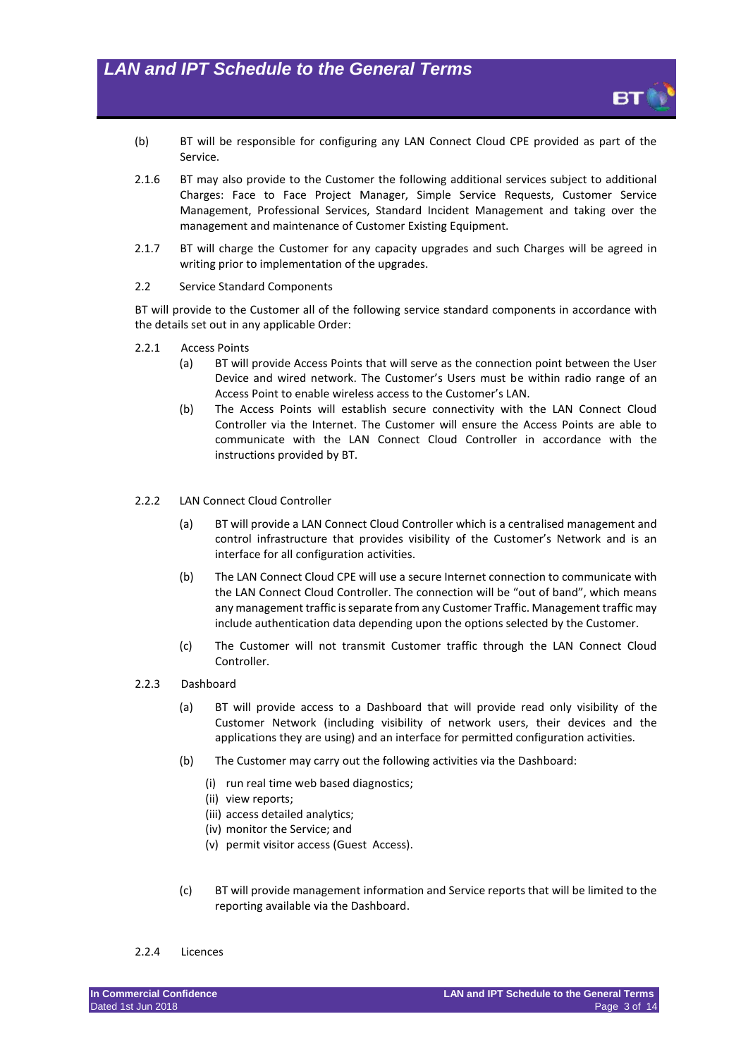- (b) BT will be responsible for configuring any LAN Connect Cloud CPE provided as part of the Service.
- 2.1.6 BT may also provide to the Customer the following additional services subject to additional Charges: Face to Face Project Manager, Simple Service Requests, Customer Service Management, Professional Services, Standard Incident Management and taking over the management and maintenance of Customer Existing Equipment.
- 2.1.7 BT will charge the Customer for any capacity upgrades and such Charges will be agreed in writing prior to implementation of the upgrades.
- <span id="page-2-0"></span>2.2 Service Standard Components

BT will provide to the Customer all of the following service standard components in accordance with the details set out in any applicable Order:

- 2.2.1 Access Points
	- (a) BT will provide Access Points that will serve as the connection point between the User Device and wired network. The Customer's Users must be within radio range of an Access Point to enable wireless access to the Customer's LAN.
	- (b) The Access Points will establish secure connectivity with the LAN Connect Cloud Controller via the Internet. The Customer will ensure the Access Points are able to communicate with the LAN Connect Cloud Controller in accordance with the instructions provided by BT.
- 2.2.2 LAN Connect Cloud Controller
	- (a) BT will provide a LAN Connect Cloud Controller which is a centralised management and control infrastructure that provides visibility of the Customer's Network and is an interface for all configuration activities.
	- (b) The LAN Connect Cloud CPE will use a secure Internet connection to communicate with the LAN Connect Cloud Controller. The connection will be "out of band", which means any management traffic is separate from any Customer Traffic. Management traffic may include authentication data depending upon the options selected by the Customer.
	- (c) The Customer will not transmit Customer traffic through the LAN Connect Cloud Controller.
- 2.2.3 Dashboard
	- (a) BT will provide access to a Dashboard that will provide read only visibility of the Customer Network (including visibility of network users, their devices and the applications they are using) and an interface for permitted configuration activities.
	- (b) The Customer may carry out the following activities via the Dashboard:
		- (i) run real time web based diagnostics;
		- (ii) view reports;
		- (iii) access detailed analytics;
		- (iv) monitor the Service; and
		- (v) permit visitor access (Guest Access).
	- (c) BT will provide management information and Service reports that will be limited to the reporting available via the Dashboard.
- 2.2.4 Licences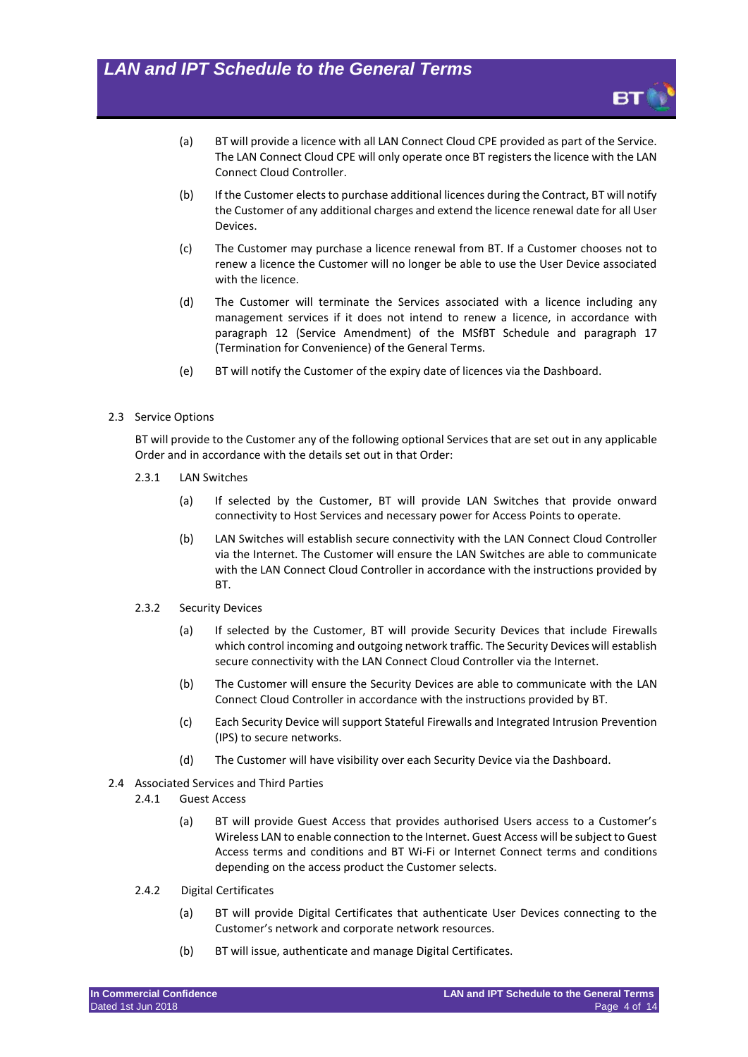- (a) BT will provide a licence with all LAN Connect Cloud CPE provided as part of the Service. The LAN Connect Cloud CPE will only operate once BT registers the licence with the LAN Connect Cloud Controller.
- (b) If the Customer elects to purchase additional licences during the Contract, BT will notify the Customer of any additional charges and extend the licence renewal date for all User **Devices**
- (c) The Customer may purchase a licence renewal from BT. If a Customer chooses not to renew a licence the Customer will no longer be able to use the User Device associated with the licence.
- (d) The Customer will terminate the Services associated with a licence including any management services if it does not intend to renew a licence, in accordance with paragraph 12 (Service Amendment) of the MSfBT Schedule and paragraph 17 (Termination for Convenience) of the General Terms.
- (e) BT will notify the Customer of the expiry date of licences via the Dashboard.

#### <span id="page-3-0"></span>2.3 Service Options

BT will provide to the Customer any of the following optional Services that are set out in any applicable Order and in accordance with the details set out in that Order:

- 2.3.1 LAN Switches
	- (a) If selected by the Customer, BT will provide LAN Switches that provide onward connectivity to Host Services and necessary power for Access Points to operate.
	- (b) LAN Switches will establish secure connectivity with the LAN Connect Cloud Controller via the Internet. The Customer will ensure the LAN Switches are able to communicate with the LAN Connect Cloud Controller in accordance with the instructions provided by BT.
- 2.3.2 Security Devices
	- (a) If selected by the Customer, BT will provide Security Devices that include Firewalls which control incoming and outgoing network traffic. The Security Devices will establish secure connectivity with the LAN Connect Cloud Controller via the Internet.
	- (b) The Customer will ensure the Security Devices are able to communicate with the LAN Connect Cloud Controller in accordance with the instructions provided by BT.
	- (c) Each Security Device will support Stateful Firewalls and Integrated Intrusion Prevention (IPS) to secure networks.
	- (d) The Customer will have visibility over each Security Device via the Dashboard.
- 2.4 Associated Services and Third Parties
	- 2.4.1 Guest Access
		- (a) BT will provide Guest Access that provides authorised Users access to a Customer's Wireless LAN to enable connection to the Internet. Guest Access will be subject to Guest Access terms and conditions and BT Wi-Fi or Internet Connect terms and conditions depending on the access product the Customer selects.
	- 2.4.2 Digital Certificates
		- (a) BT will provide Digital Certificates that authenticate User Devices connecting to the Customer's network and corporate network resources.
		- (b) BT will issue, authenticate and manage Digital Certificates.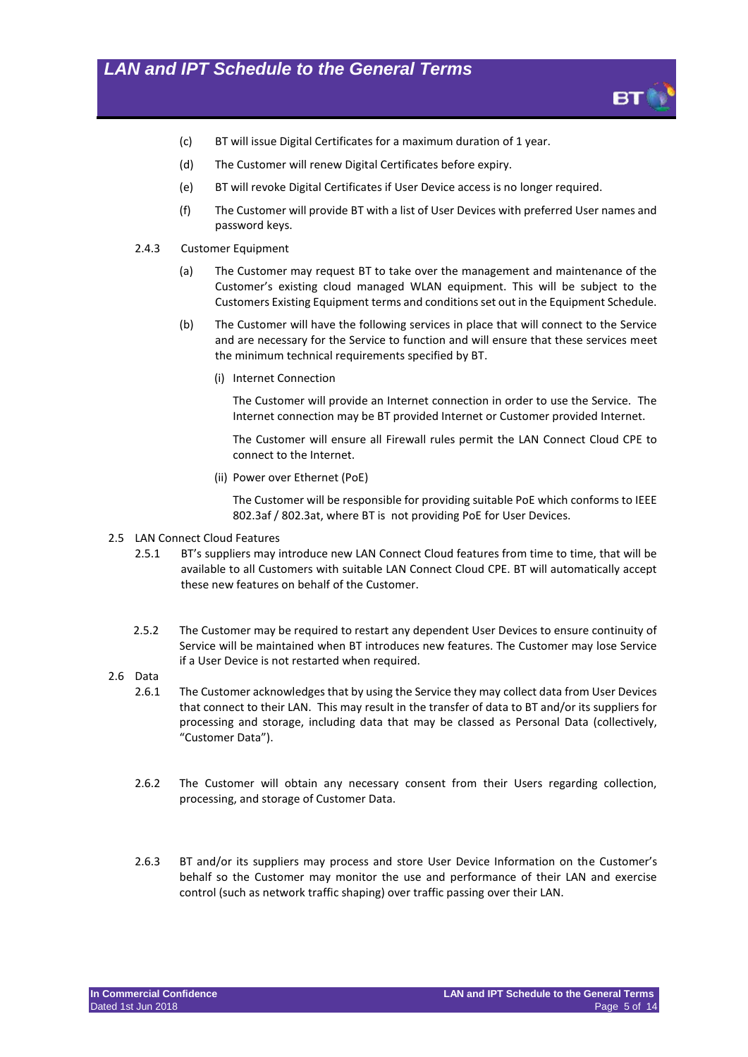

- (c) BT will issue Digital Certificates for a maximum duration of 1 year.
- (d) The Customer will renew Digital Certificates before expiry.
- (e) BT will revoke Digital Certificates if User Device access is no longer required.
- (f) The Customer will provide BT with a list of User Devices with preferred User names and password keys.
- 2.4.3 Customer Equipment
	- (a) The Customer may request BT to take over the management and maintenance of the Customer's existing cloud managed WLAN equipment. This will be subject to the Customers Existing Equipment terms and conditions set out in the Equipment Schedule.
	- (b) The Customer will have the following services in place that will connect to the Service and are necessary for the Service to function and will ensure that these services meet the minimum technical requirements specified by BT.
		- (i) Internet Connection

The Customer will provide an Internet connection in order to use the Service. The Internet connection may be BT provided Internet or Customer provided Internet.

The Customer will ensure all Firewall rules permit the LAN Connect Cloud CPE to connect to the Internet.

(ii) Power over Ethernet (PoE)

The Customer will be responsible for providing suitable PoE which conforms to IEEE 802.3af / 802.3at, where BT is not providing PoE for User Devices.

#### 2.5 LAN Connect Cloud Features

- 2.5.1 BT's suppliers may introduce new LAN Connect Cloud features from time to time, that will be available to all Customers with suitable LAN Connect Cloud CPE. BT will automatically accept these new features on behalf of the Customer.
- 2.5.2 The Customer may be required to restart any dependent User Devices to ensure continuity of Service will be maintained when BT introduces new features. The Customer may lose Service if a User Device is not restarted when required.
- 2.6 Data
	- 2.6.1 The Customer acknowledges that by using the Service they may collect data from User Devices that connect to their LAN. This may result in the transfer of data to BT and/or its suppliers for processing and storage, including data that may be classed as Personal Data (collectively, "Customer Data").
	- 2.6.2 The Customer will obtain any necessary consent from their Users regarding collection, processing, and storage of Customer Data.
	- 2.6.3 BT and/or its suppliers may process and store User Device Information on the Customer's behalf so the Customer may monitor the use and performance of their LAN and exercise control (such as network traffic shaping) over traffic passing over their LAN.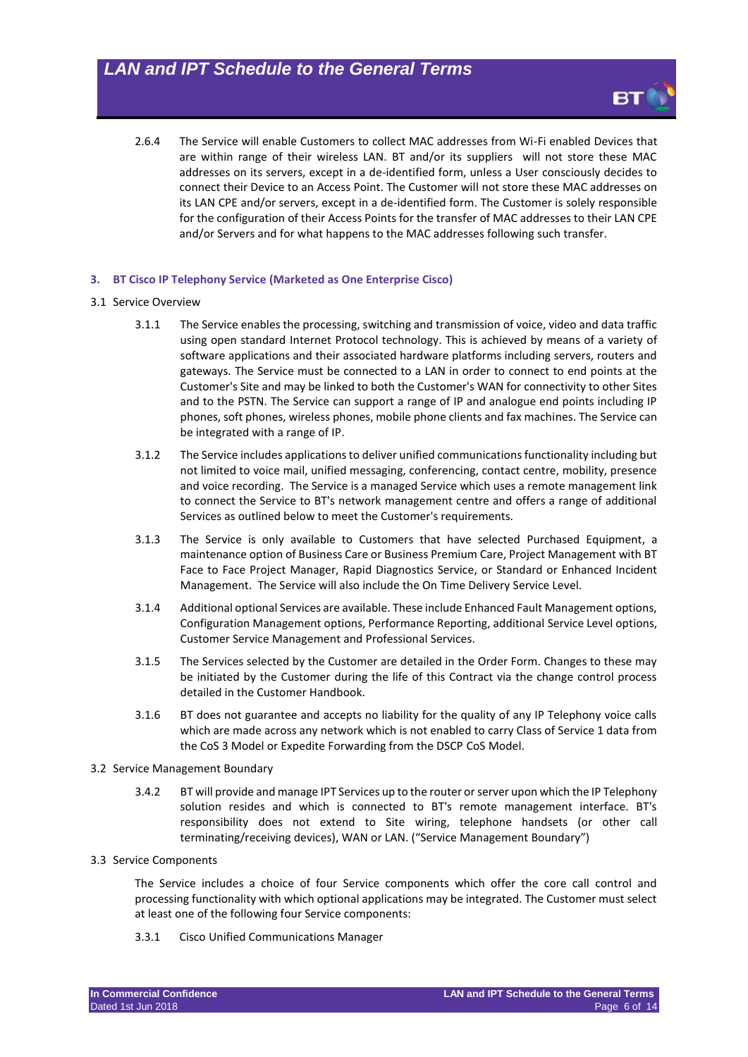2.6.4 The Service will enable Customers to collect MAC addresses from Wi-Fi enabled Devices that are within range of their wireless LAN. BT and/or its suppliers will not store these MAC addresses on its servers, except in a de-identified form, unless a User consciously decides to connect their Device to an Access Point. The Customer will not store these MAC addresses on its LAN CPE and/or servers, except in a de-identified form. The Customer is solely responsible for the configuration of their Access Points for the transfer of MAC addresses to their LAN CPE and/or Servers and for what happens to the MAC addresses following such transfer.

#### **3. BT Cisco IP Telephony Service (Marketed as One Enterprise Cisco)**

#### 3.1 Service Overview

- 3.1.1 The Service enables the processing, switching and transmission of voice, video and data traffic using open standard Internet Protocol technology. This is achieved by means of a variety of software applications and their associated hardware platforms including servers, routers and gateways. The Service must be connected to a LAN in order to connect to end points at the Customer's Site and may be linked to both the Customer's WAN for connectivity to other Sites and to the PSTN. The Service can support a range of IP and analogue end points including IP phones, soft phones, wireless phones, mobile phone clients and fax machines. The Service can be integrated with a range of IP.
- 3.1.2 The Service includes applications to deliver unified communications functionality including but not limited to voice mail, unified messaging, conferencing, contact centre, mobility, presence and voice recording. The Service is a managed Service which uses a remote management link to connect the Service to BT's network management centre and offers a range of additional Services as outlined below to meet the Customer's requirements.
- 3.1.3 The Service is only available to Customers that have selected Purchased Equipment, a maintenance option of Business Care or Business Premium Care, Project Management with BT Face to Face Project Manager, Rapid Diagnostics Service, or Standard or Enhanced Incident Management. The Service will also include the On Time Delivery Service Level.
- 3.1.4 Additional optional Services are available. These include Enhanced Fault Management options, Configuration Management options, Performance Reporting, additional Service Level options, Customer Service Management and Professional Services.
- 3.1.5 The Services selected by the Customer are detailed in the Order Form. Changes to these may be initiated by the Customer during the life of this Contract via the change control process detailed in the Customer Handbook.
- 3.1.6 BT does not guarantee and accepts no liability for the quality of any IP Telephony voice calls which are made across any network which is not enabled to carry Class of Service 1 data from the CoS 3 Model or Expedite Forwarding from the DSCP CoS Model.

#### 3.2 Service Management Boundary

3.4.2 BT will provide and manage IPT Services up to the router or server upon which the IP Telephony solution resides and which is connected to BT's remote management interface. BT's responsibility does not extend to Site wiring, telephone handsets (or other call terminating/receiving devices), WAN or LAN. ("Service Management Boundary")

#### 3.3 Service Components

The Service includes a choice of four Service components which offer the core call control and processing functionality with which optional applications may be integrated. The Customer must select at least one of the following four Service components:

3.3.1 Cisco Unified Communications Manager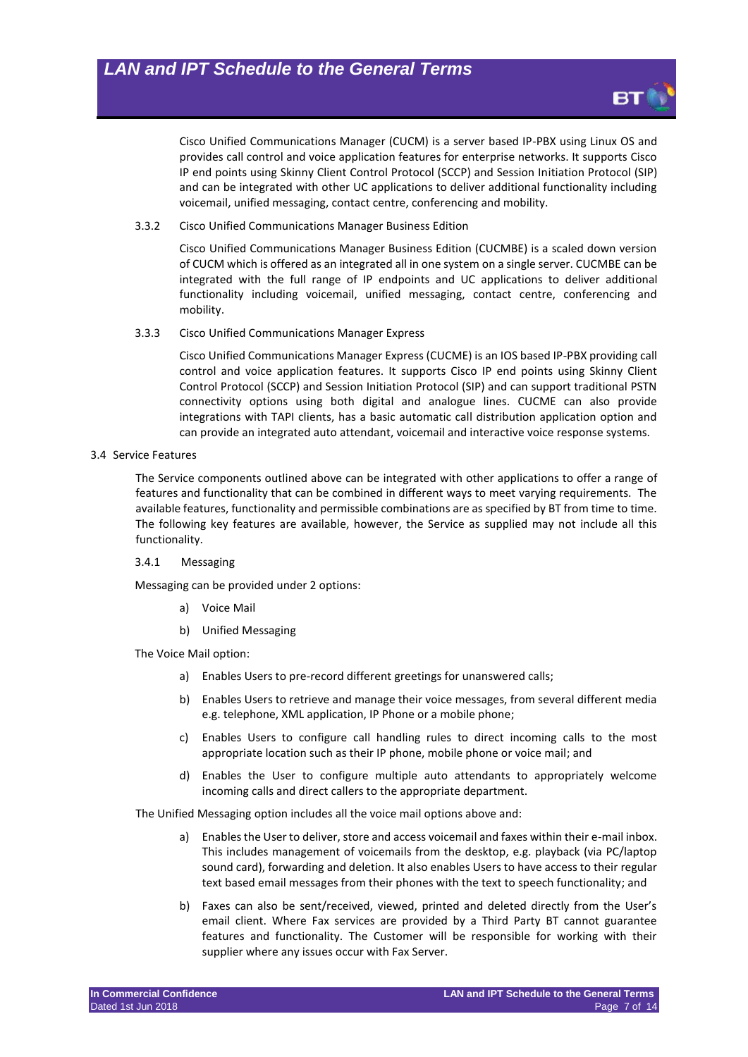

Cisco Unified Communications Manager (CUCM) is a server based IP-PBX using Linux OS and provides call control and voice application features for enterprise networks. It supports Cisco IP end points using Skinny Client Control Protocol (SCCP) and Session Initiation Protocol (SIP) and can be integrated with other UC applications to deliver additional functionality including voicemail, unified messaging, contact centre, conferencing and mobility.

3.3.2 Cisco Unified Communications Manager Business Edition

Cisco Unified Communications Manager Business Edition (CUCMBE) is a scaled down version of CUCM which is offered as an integrated all in one system on a single server. CUCMBE can be integrated with the full range of IP endpoints and UC applications to deliver additional functionality including voicemail, unified messaging, contact centre, conferencing and mobility.

3.3.3 Cisco Unified Communications Manager Express

Cisco Unified Communications Manager Express (CUCME) is an IOS based IP-PBX providing call control and voice application features. It supports Cisco IP end points using Skinny Client Control Protocol (SCCP) and Session Initiation Protocol (SIP) and can support traditional PSTN connectivity options using both digital and analogue lines. CUCME can also provide integrations with TAPI clients, has a basic automatic call distribution application option and can provide an integrated auto attendant, voicemail and interactive voice response systems.

3.4 Service Features

The Service components outlined above can be integrated with other applications to offer a range of features and functionality that can be combined in different ways to meet varying requirements. The available features, functionality and permissible combinations are as specified by BT from time to time. The following key features are available, however, the Service as supplied may not include all this functionality.

3.4.1 Messaging

Messaging can be provided under 2 options:

- a) Voice Mail
- b) Unified Messaging

The Voice Mail option:

- a) Enables Users to pre-record different greetings for unanswered calls;
- b) Enables Users to retrieve and manage their voice messages, from several different media e.g. telephone, XML application, IP Phone or a mobile phone;
- c) Enables Users to configure call handling rules to direct incoming calls to the most appropriate location such as their IP phone, mobile phone or voice mail; and
- d) Enables the User to configure multiple auto attendants to appropriately welcome incoming calls and direct callers to the appropriate department.

The Unified Messaging option includes all the voice mail options above and:

- a) Enables the User to deliver, store and access voicemail and faxes within their e-mail inbox. This includes management of voicemails from the desktop, e.g. playback (via PC/laptop sound card), forwarding and deletion. It also enables Users to have access to their regular text based email messages from their phones with the text to speech functionality; and
- b) Faxes can also be sent/received, viewed, printed and deleted directly from the User's email client. Where Fax services are provided by a Third Party BT cannot guarantee features and functionality. The Customer will be responsible for working with their supplier where any issues occur with Fax Server.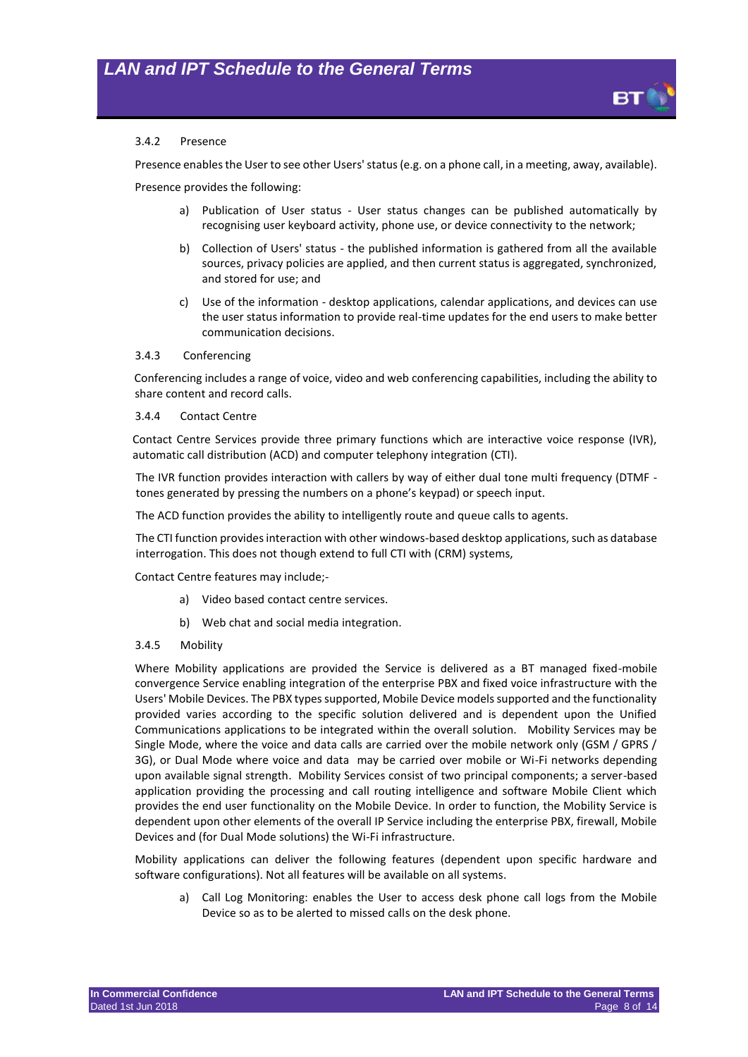

#### 3.4.2 Presence

Presence enables the User to see other Users' status (e.g. on a phone call, in a meeting, away, available).

Presence provides the following:

- a) Publication of User status User status changes can be published automatically by recognising user keyboard activity, phone use, or device connectivity to the network;
- b) Collection of Users' status the published information is gathered from all the available sources, privacy policies are applied, and then current status is aggregated, synchronized, and stored for use; and
- c) Use of the information desktop applications, calendar applications, and devices can use the user status information to provide real-time updates for the end users to make better communication decisions.

#### 3.4.3 Conferencing

Conferencing includes a range of voice, video and web conferencing capabilities, including the ability to share content and record calls.

#### 3.4.4 Contact Centre

Contact Centre Services provide three primary functions which are interactive voice response (IVR), automatic call distribution (ACD) and computer telephony integration (CTI).

The IVR function provides interaction with callers by way of either dual tone multi frequency (DTMF tones generated by pressing the numbers on a phone's keypad) or speech input.

The ACD function provides the ability to intelligently route and queue calls to agents.

The CTI function provides interaction with other windows-based desktop applications, such as database interrogation. This does not though extend to full CTI with (CRM) systems,

Contact Centre features may include;-

- a) Video based contact centre services.
- b) Web chat and social media integration.
- 3.4.5 Mobility

Where Mobility applications are provided the Service is delivered as a BT managed fixed-mobile convergence Service enabling integration of the enterprise PBX and fixed voice infrastructure with the Users' Mobile Devices. The PBX types supported, Mobile Device models supported and the functionality provided varies according to the specific solution delivered and is dependent upon the Unified Communications applications to be integrated within the overall solution. Mobility Services may be Single Mode, where the voice and data calls are carried over the mobile network only (GSM / GPRS / 3G), or Dual Mode where voice and data may be carried over mobile or Wi-Fi networks depending upon available signal strength. Mobility Services consist of two principal components; a server-based application providing the processing and call routing intelligence and software Mobile Client which provides the end user functionality on the Mobile Device. In order to function, the Mobility Service is dependent upon other elements of the overall IP Service including the enterprise PBX, firewall, Mobile Devices and (for Dual Mode solutions) the Wi-Fi infrastructure.

Mobility applications can deliver the following features (dependent upon specific hardware and software configurations). Not all features will be available on all systems.

a) Call Log Monitoring: enables the User to access desk phone call logs from the Mobile Device so as to be alerted to missed calls on the desk phone.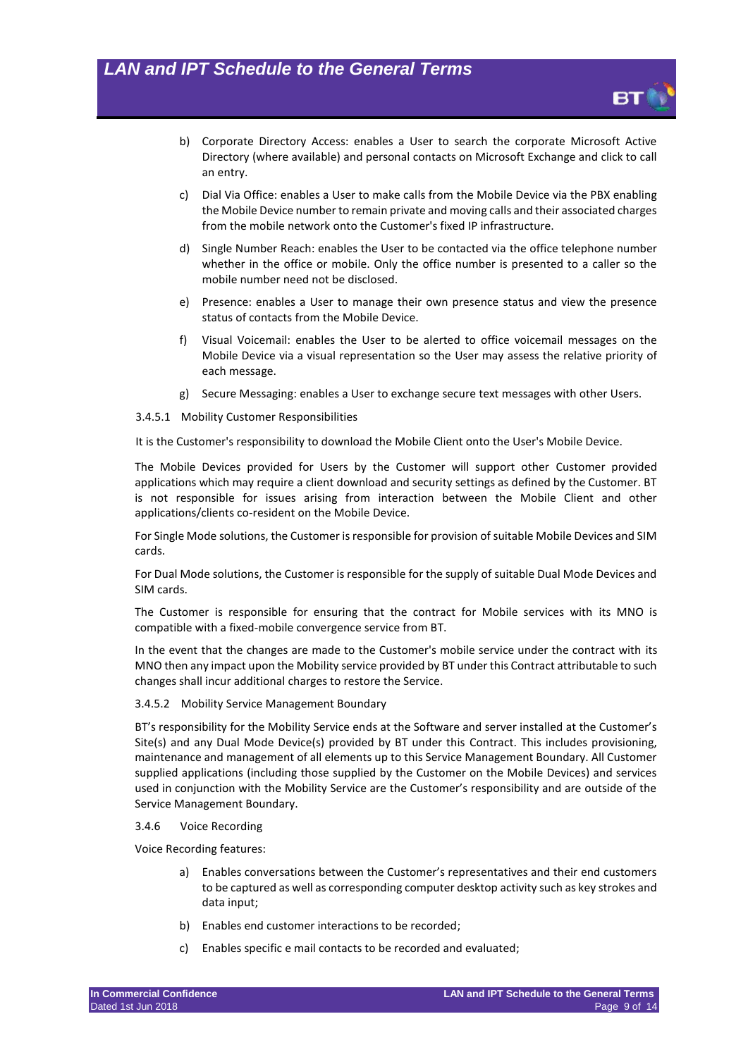

- b) Corporate Directory Access: enables a User to search the corporate Microsoft Active Directory (where available) and personal contacts on Microsoft Exchange and click to call an entry.
- c) Dial Via Office: enables a User to make calls from the Mobile Device via the PBX enabling the Mobile Device number to remain private and moving calls and their associated charges from the mobile network onto the Customer's fixed IP infrastructure.
- d) Single Number Reach: enables the User to be contacted via the office telephone number whether in the office or mobile. Only the office number is presented to a caller so the mobile number need not be disclosed.
- e) Presence: enables a User to manage their own presence status and view the presence status of contacts from the Mobile Device.
- f) Visual Voicemail: enables the User to be alerted to office voicemail messages on the Mobile Device via a visual representation so the User may assess the relative priority of each message.
- g) Secure Messaging: enables a User to exchange secure text messages with other Users.

#### 3.4.5.1 Mobility Customer Responsibilities

It is the Customer's responsibility to download the Mobile Client onto the User's Mobile Device.

The Mobile Devices provided for Users by the Customer will support other Customer provided applications which may require a client download and security settings as defined by the Customer. BT is not responsible for issues arising from interaction between the Mobile Client and other applications/clients co-resident on the Mobile Device.

For Single Mode solutions, the Customer is responsible for provision of suitable Mobile Devices and SIM cards.

For Dual Mode solutions, the Customer is responsible for the supply of suitable Dual Mode Devices and SIM cards.

The Customer is responsible for ensuring that the contract for Mobile services with its MNO is compatible with a fixed-mobile convergence service from BT.

In the event that the changes are made to the Customer's mobile service under the contract with its MNO then any impact upon the Mobility service provided by BT under this Contract attributable to such changes shall incur additional charges to restore the Service.

#### 3.4.5.2 Mobility Service Management Boundary

BT's responsibility for the Mobility Service ends at the Software and server installed at the Customer's Site(s) and any Dual Mode Device(s) provided by BT under this Contract. This includes provisioning, maintenance and management of all elements up to this Service Management Boundary. All Customer supplied applications (including those supplied by the Customer on the Mobile Devices) and services used in conjunction with the Mobility Service are the Customer's responsibility and are outside of the Service Management Boundary.

#### 3.4.6 Voice Recording

Voice Recording features:

- a) Enables conversations between the Customer's representatives and their end customers to be captured as well as corresponding computer desktop activity such as key strokes and data input;
- b) Enables end customer interactions to be recorded;
- c) Enables specific e mail contacts to be recorded and evaluated;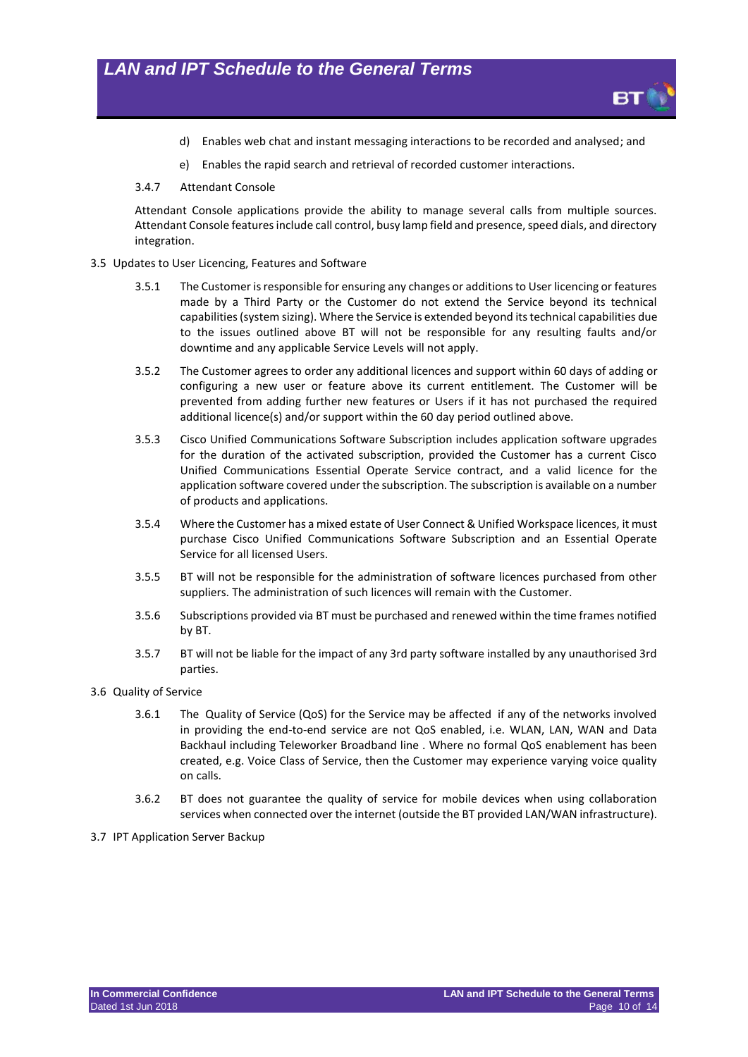- d) Enables web chat and instant messaging interactions to be recorded and analysed; and
- e) Enables the rapid search and retrieval of recorded customer interactions.
- 3.4.7 Attendant Console

Attendant Console applications provide the ability to manage several calls from multiple sources. Attendant Console features include call control, busy lamp field and presence, speed dials, and directory integration.

- 3.5 Updates to User Licencing, Features and Software
	- 3.5.1 The Customer is responsible for ensuring any changes or additions to User licencing or features made by a Third Party or the Customer do not extend the Service beyond its technical capabilities (system sizing). Where the Service is extended beyond its technical capabilities due to the issues outlined above BT will not be responsible for any resulting faults and/or downtime and any applicable Service Levels will not apply.
	- 3.5.2 The Customer agrees to order any additional licences and support within 60 days of adding or configuring a new user or feature above its current entitlement. The Customer will be prevented from adding further new features or Users if it has not purchased the required additional licence(s) and/or support within the 60 day period outlined above.
	- 3.5.3 Cisco Unified Communications Software Subscription includes application software upgrades for the duration of the activated subscription, provided the Customer has a current Cisco Unified Communications Essential Operate Service contract, and a valid licence for the application software covered under the subscription. The subscription is available on a number of products and applications.
	- 3.5.4 Where the Customer has a mixed estate of User Connect & Unified Workspace licences, it must purchase Cisco Unified Communications Software Subscription and an Essential Operate Service for all licensed Users.
	- 3.5.5 BT will not be responsible for the administration of software licences purchased from other suppliers. The administration of such licences will remain with the Customer.
	- 3.5.6 Subscriptions provided via BT must be purchased and renewed within the time frames notified by BT.
	- 3.5.7 BT will not be liable for the impact of any 3rd party software installed by any unauthorised 3rd parties.
- 3.6 Quality of Service
	- 3.6.1 The Quality of Service (QoS) for the Service may be affected if any of the networks involved in providing the end-to-end service are not QoS enabled, i.e. WLAN, LAN, WAN and Data Backhaul including Teleworker Broadband line . Where no formal QoS enablement has been created, e.g. Voice Class of Service, then the Customer may experience varying voice quality on calls.
	- 3.6.2 BT does not guarantee the quality of service for mobile devices when using collaboration services when connected over the internet (outside the BT provided LAN/WAN infrastructure).
- 3.7 IPT Application Server Backup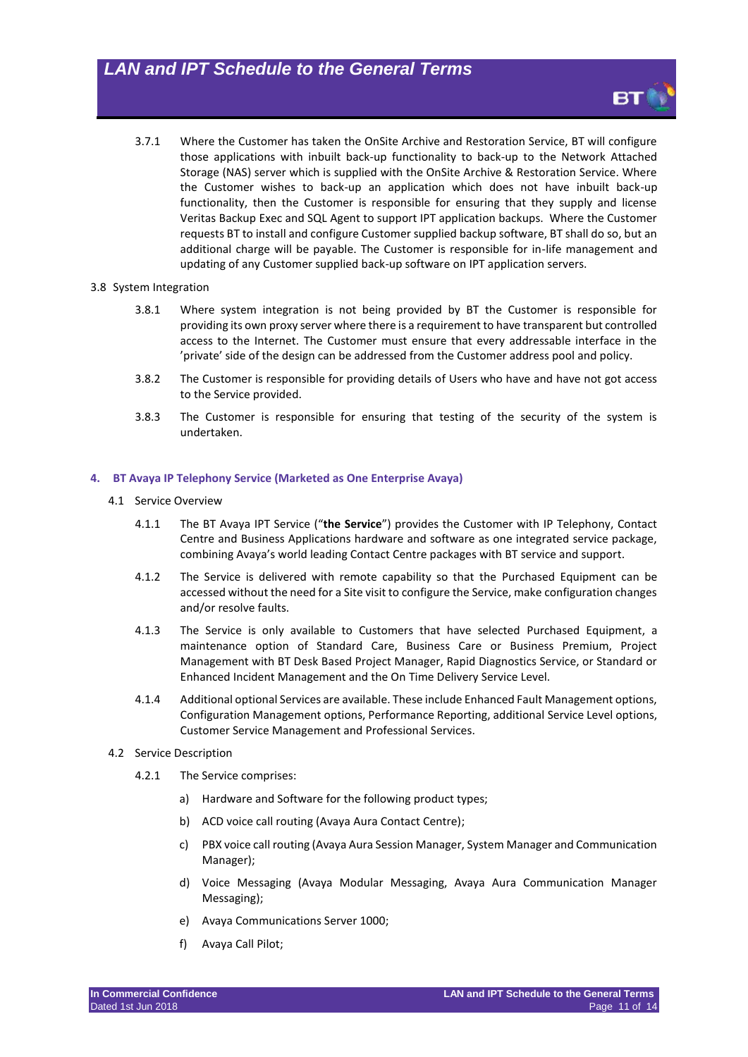3.7.1 Where the Customer has taken the OnSite Archive and Restoration Service, BT will configure those applications with inbuilt back-up functionality to back-up to the Network Attached Storage (NAS) server which is supplied with the OnSite Archive & Restoration Service. Where the Customer wishes to back-up an application which does not have inbuilt back-up functionality, then the Customer is responsible for ensuring that they supply and license Veritas Backup Exec and SQL Agent to support IPT application backups. Where the Customer requests BT to install and configure Customer supplied backup software, BT shall do so, but an additional charge will be payable. The Customer is responsible for in-life management and updating of any Customer supplied back-up software on IPT application servers.

#### 3.8 System Integration

- 3.8.1 Where system integration is not being provided by BT the Customer is responsible for providing its own proxy server where there is a requirement to have transparent but controlled access to the Internet. The Customer must ensure that every addressable interface in the 'private' side of the design can be addressed from the Customer address pool and policy.
- 3.8.2 The Customer is responsible for providing details of Users who have and have not got access to the Service provided.
- 3.8.3 The Customer is responsible for ensuring that testing of the security of the system is undertaken.

#### **4. BT Avaya IP Telephony Service (Marketed as One Enterprise Avaya)**

- 4.1 Service Overview
	- 4.1.1 The BT Avaya IPT Service ("**the Service**") provides the Customer with IP Telephony, Contact Centre and Business Applications hardware and software as one integrated service package, combining Avaya's world leading Contact Centre packages with BT service and support.
	- 4.1.2 The Service is delivered with remote capability so that the Purchased Equipment can be accessed without the need for a Site visit to configure the Service, make configuration changes and/or resolve faults.
	- 4.1.3 The Service is only available to Customers that have selected Purchased Equipment, a maintenance option of Standard Care, Business Care or Business Premium, Project Management with BT Desk Based Project Manager, Rapid Diagnostics Service, or Standard or Enhanced Incident Management and the On Time Delivery Service Level.
	- 4.1.4 Additional optional Services are available. These include Enhanced Fault Management options, Configuration Management options, Performance Reporting, additional Service Level options, Customer Service Management and Professional Services.
- 4.2 Service Description
	- 4.2.1 The Service comprises:
		- a) Hardware and Software for the following product types;
		- b) ACD voice call routing (Avaya Aura Contact Centre);
		- c) PBX voice call routing (Avaya Aura Session Manager, System Manager and Communication Manager);
		- d) Voice Messaging (Avaya Modular Messaging, Avaya Aura Communication Manager Messaging);
		- e) Avaya Communications Server 1000;
		- f) Avaya Call Pilot;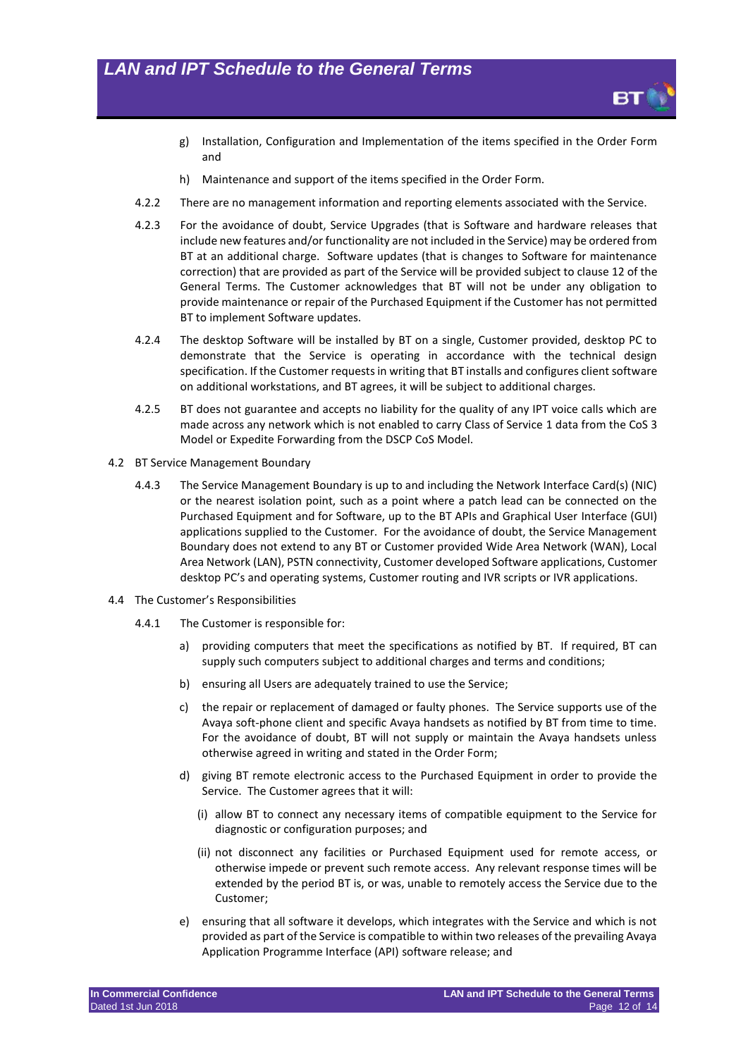

- g) Installation, Configuration and Implementation of the items specified in the Order Form and
- h) Maintenance and support of the items specified in the Order Form.
- 4.2.2 There are no management information and reporting elements associated with the Service.
- 4.2.3 For the avoidance of doubt, Service Upgrades (that is Software and hardware releases that include new features and/or functionality are not included in the Service) may be ordered from BT at an additional charge. Software updates (that is changes to Software for maintenance correction) that are provided as part of the Service will be provided subject to clause 12 of the General Terms. The Customer acknowledges that BT will not be under any obligation to provide maintenance or repair of the Purchased Equipment if the Customer has not permitted BT to implement Software updates.
- 4.2.4 The desktop Software will be installed by BT on a single, Customer provided, desktop PC to demonstrate that the Service is operating in accordance with the technical design specification. If the Customer requests in writing that BT installs and configures client software on additional workstations, and BT agrees, it will be subject to additional charges.
- 4.2.5 BT does not guarantee and accepts no liability for the quality of any IPT voice calls which are made across any network which is not enabled to carry Class of Service 1 data from the CoS 3 Model or Expedite Forwarding from the DSCP CoS Model.
- 4.2 BT Service Management Boundary
	- 4.4.3 The Service Management Boundary is up to and including the Network Interface Card(s) (NIC) or the nearest isolation point, such as a point where a patch lead can be connected on the Purchased Equipment and for Software, up to the BT APIs and Graphical User Interface (GUI) applications supplied to the Customer. For the avoidance of doubt, the Service Management Boundary does not extend to any BT or Customer provided Wide Area Network (WAN), Local Area Network (LAN), PSTN connectivity, Customer developed Software applications, Customer desktop PC's and operating systems, Customer routing and IVR scripts or IVR applications.
- 4.4 The Customer's Responsibilities
	- 4.4.1 The Customer is responsible for:
		- a) providing computers that meet the specifications as notified by BT. If required, BT can supply such computers subject to additional charges and terms and conditions;
		- b) ensuring all Users are adequately trained to use the Service;
		- c) the repair or replacement of damaged or faulty phones. The Service supports use of the Avaya soft-phone client and specific Avaya handsets as notified by BT from time to time. For the avoidance of doubt, BT will not supply or maintain the Avaya handsets unless otherwise agreed in writing and stated in the Order Form;
		- d) giving BT remote electronic access to the Purchased Equipment in order to provide the Service. The Customer agrees that it will:
			- (i) allow BT to connect any necessary items of compatible equipment to the Service for diagnostic or configuration purposes; and
			- (ii) not disconnect any facilities or Purchased Equipment used for remote access, or otherwise impede or prevent such remote access. Any relevant response times will be extended by the period BT is, or was, unable to remotely access the Service due to the Customer;
		- e) ensuring that all software it develops, which integrates with the Service and which is not provided as part of the Service is compatible to within two releases of the prevailing Avaya Application Programme Interface (API) software release; and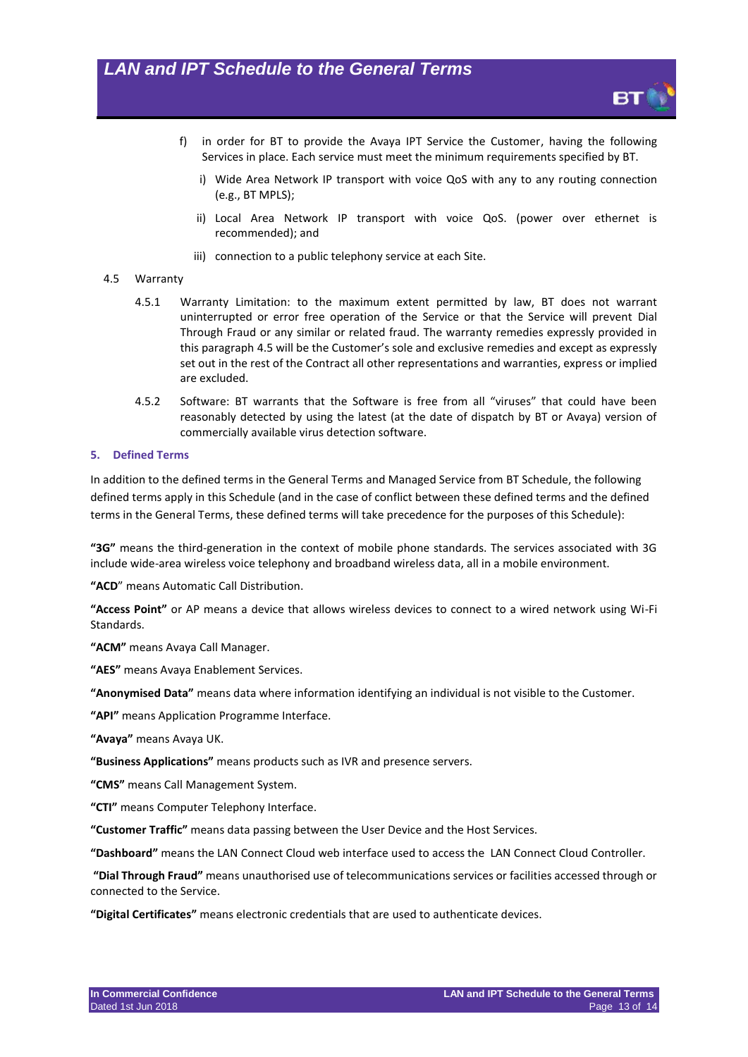- f) in order for BT to provide the Avaya IPT Service the Customer, having the following Services in place. Each service must meet the minimum requirements specified by BT.
	- i) Wide Area Network IP transport with voice QoS with any to any routing connection (e.g., BT MPLS);
	- ii) Local Area Network IP transport with voice QoS. (power over ethernet is recommended); and
	- iii) connection to a public telephony service at each Site.

#### <span id="page-12-0"></span>4.5 Warranty

- 4.5.1 Warranty Limitation: to the maximum extent permitted by law, BT does not warrant uninterrupted or error free operation of the Service or that the Service will prevent Dial Through Fraud or any similar or related fraud. The warranty remedies expressly provided in this paragraph [4.5](#page-12-0) will be the Customer's sole and exclusive remedies and except as expressly set out in the rest of the Contract all other representations and warranties, express or implied are excluded.
- 4.5.2 Software: BT warrants that the Software is free from all "viruses" that could have been reasonably detected by using the latest (at the date of dispatch by BT or Avaya) version of commercially available virus detection software.

#### **5. Defined Terms**

In addition to the defined terms in the General Terms and Managed Service from BT Schedule, the following defined terms apply in this Schedule (and in the case of conflict between these defined terms and the defined terms in the General Terms, these defined terms will take precedence for the purposes of this Schedule):

**"3G"** means the third-generation in the context of mobile phone standards. The services associated with 3G include wide-area wireless voice telephony and broadband wireless data, all in a mobile environment.

**"ACD**" means Automatic Call Distribution.

**"Access Point"** or AP means a device that allows wireless devices to connect to a wired network using Wi-Fi Standards.

**"ACM"** means Avaya Call Manager.

**"AES"** means Avaya Enablement Services.

**"Anonymised Data"** means data where information identifying an individual is not visible to the Customer.

**"API"** means Application Programme Interface.

**"Avaya"** means Avaya UK.

**"Business Applications"** means products such as IVR and presence servers.

**"CMS"** means Call Management System.

**"CTI"** means Computer Telephony Interface.

**"Customer Traffic"** means data passing between the User Device and the Host Services.

**"Dashboard"** means the LAN Connect Cloud web interface used to access the LAN Connect Cloud Controller.

**"Dial Through Fraud"** means unauthorised use of telecommunications services or facilities accessed through or connected to the Service.

**"Digital Certificates"** means electronic credentials that are used to authenticate devices.